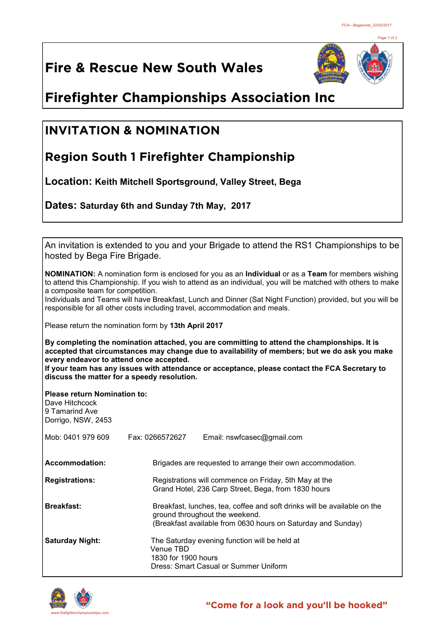*Page 1 of 2*

# **Fire & Rescue New South Wales**



# **Firefighter Championships Association Inc**

### **INVITATION & NOMINATION**

## **Region South 1 Firefighter Championship**

**Location: Keith Mitchell Sportsground, Valley Street, Bega**

**Dates: Saturday 6th and Sunday 7th May, 2017** 

An invitation is extended to you and your Brigade to attend the RS1 Championships to be hosted by Bega Fire Brigade.

**NOMINATION:** A nomination form is enclosed for you as an **Individual** or as a **Team** for members wishing to attend this Championship. If you wish to attend as an individual, you will be matched with others to make a composite team for competition.

Individuals and Teams will have Breakfast, Lunch and Dinner (Sat Night Function) provided, but you will be responsible for all other costs including travel, accommodation and meals.

Please return the nomination form by **13th April 2017**

**By completing the nomination attached, you are committing to attend the championships. It is accepted that circumstances may change due to availability of members; but we do ask you make every endeavor to attend once accepted.**

**If your team has any issues with attendance or acceptance, please contact the FCA Secretary to discuss the matter for a speedy resolution.**

**Please return Nomination to:**

| Dave Hitchcock<br>9 Tamarind Ave<br>Dorrigo, NSW, 2453 |                                                                                                                                                                            |                                                                                                              |  |
|--------------------------------------------------------|----------------------------------------------------------------------------------------------------------------------------------------------------------------------------|--------------------------------------------------------------------------------------------------------------|--|
| Mob: 0401 979 609                                      | Fax: 0266572627                                                                                                                                                            | Email: nswfcasec@gmail.com                                                                                   |  |
| Accommodation:                                         |                                                                                                                                                                            | Brigades are requested to arrange their own accommodation.                                                   |  |
| <b>Registrations:</b>                                  |                                                                                                                                                                            | Registrations will commence on Friday, 5th May at the<br>Grand Hotel, 236 Carp Street, Bega, from 1830 hours |  |
| <b>Breakfast:</b>                                      | Breakfast, lunches, tea, coffee and soft drinks will be available on the<br>ground throughout the weekend.<br>(Breakfast available from 0630 hours on Saturday and Sunday) |                                                                                                              |  |
| <b>Saturday Night:</b>                                 | Venue TBD<br>1830 for 1900 hours                                                                                                                                           | The Saturday evening function will be held at<br>Dress: Smart Casual or Summer Uniform                       |  |